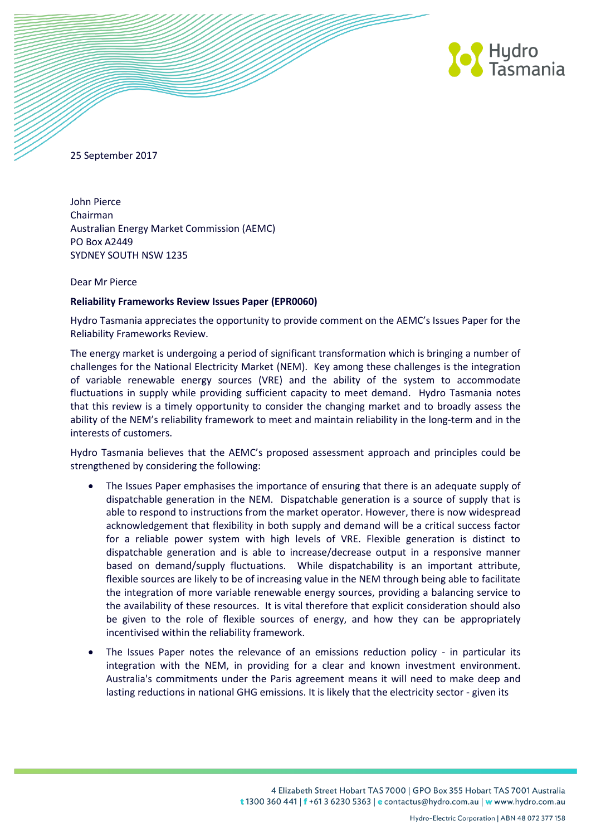

25 September 2017

John Pierce Chairman Australian Energy Market Commission (AEMC) PO Box A2449 SYDNEY SOUTH NSW 1235

## Dear Mr Pierce

## **Reliability Frameworks Review Issues Paper (EPR0060)**

Hydro Tasmania appreciates the opportunity to provide comment on the AEMC's Issues Paper for the Reliability Frameworks Review.

The energy market is undergoing a period of significant transformation which is bringing a number of challenges for the National Electricity Market (NEM). Key among these challenges is the integration of variable renewable energy sources (VRE) and the ability of the system to accommodate fluctuations in supply while providing sufficient capacity to meet demand. Hydro Tasmania notes that this review is a timely opportunity to consider the changing market and to broadly assess the ability of the NEM's reliability framework to meet and maintain reliability in the long-term and in the interests of customers.

Hydro Tasmania believes that the AEMC's proposed assessment approach and principles could be strengthened by considering the following:

- The Issues Paper emphasises the importance of ensuring that there is an adequate supply of dispatchable generation in the NEM. Dispatchable generation is a source of supply that is able to respond to instructions from the market operator. However, there is now widespread acknowledgement that flexibility in both supply and demand will be a critical success factor for a reliable power system with high levels of VRE. Flexible generation is distinct to dispatchable generation and is able to increase/decrease output in a responsive manner based on demand/supply fluctuations. While dispatchability is an important attribute, flexible sources are likely to be of increasing value in the NEM through being able to facilitate the integration of more variable renewable energy sources, providing a balancing service to the availability of these resources. It is vital therefore that explicit consideration should also be given to the role of flexible sources of energy, and how they can be appropriately incentivised within the reliability framework.
- The Issues Paper notes the relevance of an emissions reduction policy in particular its integration with the NEM, in providing for a clear and known investment environment. Australia's commitments under the Paris agreement means it will need to make deep and lasting reductions in national GHG emissions. It is likely that the electricity sector - given its

4 Elizabeth Street Hobart TAS 7000 | GPO Box 355 Hobart TAS 7001 Australia t 1300 360 441 | f +61 3 6230 5363 | e contactus@hydro.com.au | w www.hydro.com.au